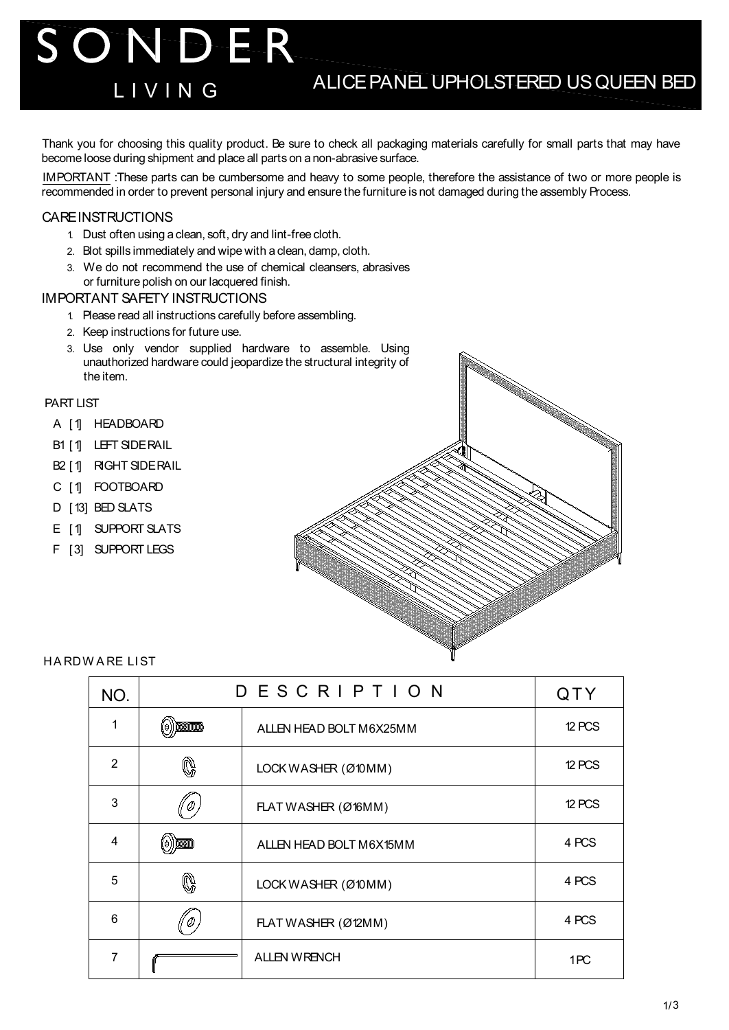Thank you for choosing this quality product. Be sure to check all packaging materials carefully for small parts that may have become loose during shipment and place all parts on a non-abrasive surface.

IMPORTANT :These parts can be cumbersome and heavy to some people, therefore the assistance of two or more people is recommended in order to prevent personal injury and ensure the furniture is not damaged during the assembly Process.

### **CARE INSTRUCTIONS**

- 1. Dust often using a clean, soft, dry and lint-free cloth.
- 2. Blot spills immediately and wipe with a clean, damp, cloth.
- 3. We do not recommend the use of chemical cleansers, abrasives or furniture polish on our lacquered finish.

#### IMPORTANT SAFETY INSTRUCTIONS

SONDER

- 1. Please read all instructions carefully before assembling.
- 2. Keep instructions for future use.
- 3. Use only vendor supplied hardware to assemble. Using unauthorized hardware could jeopardize the structural integrity of the item.

#### PART LIST

- A [1] HEADBOARD
- B1 [1] LEFT SIDE RAIL
- B<sub>2</sub> [1] RIGHT SIDERAIL
- C [1] FOOTBOARD
- D [13] BED SLATS
- E [1] SUPPORT SLATS
- F [3] SUPPORT LEGS



HA RDW A RE LI ST

| NO.                     | DESCRIPTION           |                         | QTY           |
|-------------------------|-----------------------|-------------------------|---------------|
| 1                       | <b>Diminum</b><br>(e) | ALLEN HEAD BOLT M6X25MM | 12 PCS        |
| $\mathcal{P}$           | $\mathbb{Q}$          | LOCK WASHER (Ø10MM)     | <b>12 PCS</b> |
| 3                       |                       | FLAT WASHER (Ø16MM)     | 12 PCS        |
| $\overline{\mathbf{4}}$ | 1 00000000<br>(e)     | ALLEN HEAD BOLT M6X15MM | 4 PCS         |
| 5                       | Q                     | LOCK WASHER (Ø10MM)     | 4 PCS         |
| 6                       |                       | FLAT WASHER (Ø12MM)     | 4 PCS         |
| $\overline{7}$          |                       | <b>ALLEN WRENCH</b>     | 1PC           |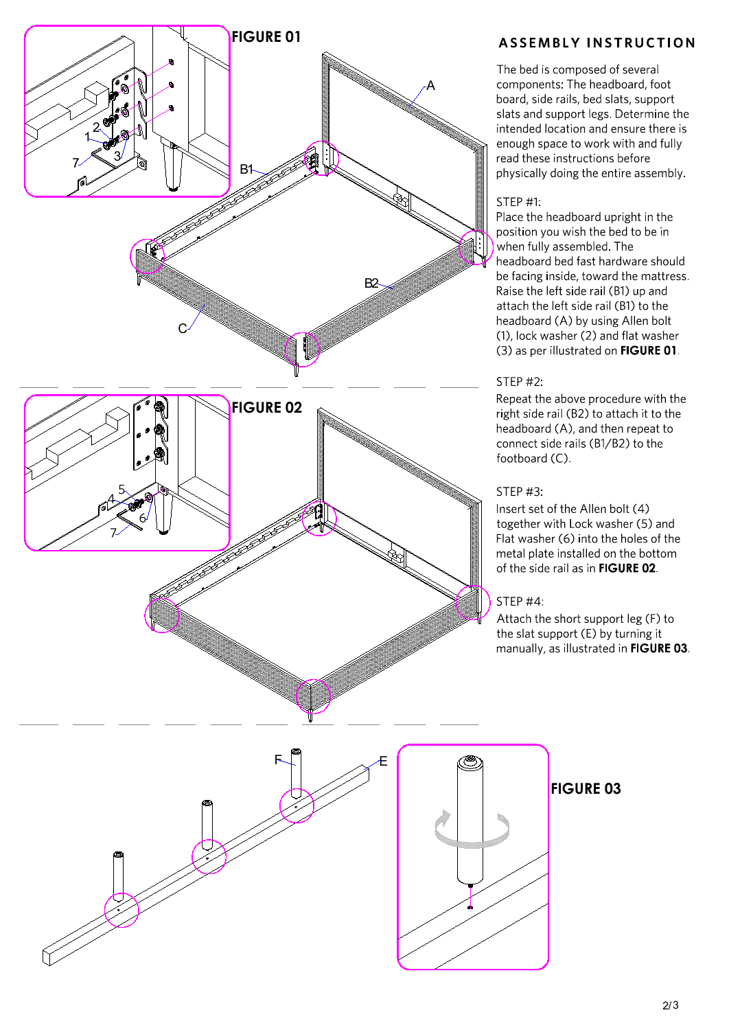

# **ASSEMBLY INSTRUCTION**

The bed is composed of several components: The headboard, foot board, side rails, bed slats, support slats and support legs. Determine the intended location and ensure there is enough space to work with and fully read these instructions before physically doing the entire assembly.

### STEP #1:

Place the headboard upright in the position you wish the bed to be in when fully assembled. The headboard bed fast hardware should be facing inside, toward the mattress. Raise the left side rail (B1) up and attach the left side rail (B1) to the headboard (A) by using Allen bolt (1), lock washer (2) and flat washer (3) as per illustrated on FIGURE 01.

### **STEP #2:**

Repeat the above procedure with the right side rail (B2) to attach it to the headboard (A), and then repeat to connect side rails (B1/B2) to the footboard (C).

## **STEP #3:**

Insert set of the Allen bolt (4) together with Lock washer (5) and Flat washer (6) into the holes of the metal plate installed on the bottom of the side rail as in FIGURE 02.

### STEP<sub>#4</sub>

Attach the short support leg (F) to the slat support (E) by turning it manually, as illustrated in FIGURE 03.